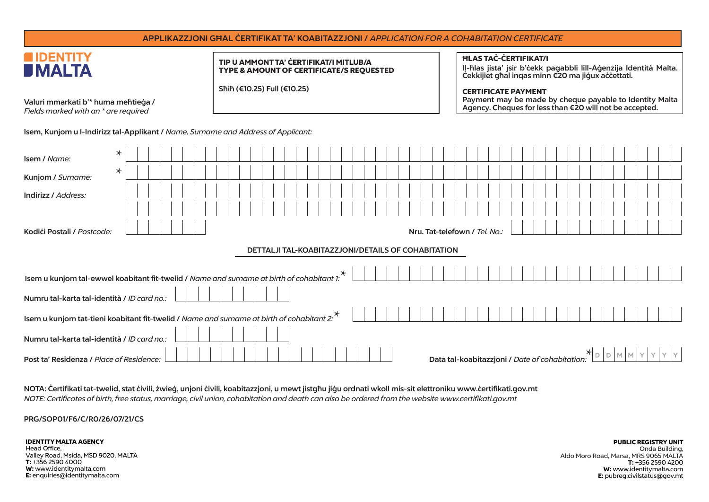| APPLIKAZZJONI GHAL CERTIFIKAT TA' KOABITAZZJONI / APPLICATION FOR A COHABITATION CERTIFICATE         |                                                                                    |                                                                                                                                                        |
|------------------------------------------------------------------------------------------------------|------------------------------------------------------------------------------------|--------------------------------------------------------------------------------------------------------------------------------------------------------|
| <b>IMALTA</b>                                                                                        | TIP U AMMONT TA' CERTIFIKAT/I MITLUB/A<br>TYPE & AMOUNT OF CERTIFICATE/S REQUESTED | <b>HLAS TAC-CERTIFIKAT/I</b><br>II-hlas jista' jsir b'cekk pagabbli lill-Agenzija Identità Malta.<br>Cekkijiet ghal ingas minn €20 ma jigux accettati. |
| Valuri mmarkati b'* huma meħtieġa /<br>Fields marked with an * are required                          | Shih (€10.25) Full (€10.25)                                                        | <b>CERTIFICATE PAYMENT</b><br>Payment may be made by cheque payable to Identity Malta<br>Agency. Cheques for less than €20 will not be accepted.       |
| Isem, Kunjom u I-Indirizz tal-Applikant / Name, Surname and Address of Applicant:                    |                                                                                    |                                                                                                                                                        |
| ⊁<br>Isem / Name:                                                                                    |                                                                                    |                                                                                                                                                        |
| $\star$<br>Kunjom / Surname:                                                                         |                                                                                    |                                                                                                                                                        |
| Indirizz / Address:                                                                                  |                                                                                    |                                                                                                                                                        |
|                                                                                                      |                                                                                    |                                                                                                                                                        |
| Kodići Postali / Postcode:                                                                           |                                                                                    | Nru. Tat-telefown / Tel. No.:                                                                                                                          |
| <b>DETTALJI TAL-KOABITAZZJONI/DETAILS OF COHABITATION</b>                                            |                                                                                    |                                                                                                                                                        |
| Isem u kunjom tal-ewwel koabitant fit-twelid / Name and surname at birth of cohabitant 1:            |                                                                                    |                                                                                                                                                        |
| Numru tal-karta tal-identità / ID card no.:                                                          |                                                                                    |                                                                                                                                                        |
| Isem u kunjom tat-tieni koabitant fit-twelid / Name and surname at birth of cohabitant 2. $^{\star}$ |                                                                                    |                                                                                                                                                        |
| Numru tal-karta tal-identità / ID card no                                                            |                                                                                    |                                                                                                                                                        |
| Post ta' Residenza / Place of Residence:                                                             |                                                                                    | DMM<br>Data tal-koabitazzjoni / Date of cohabitation:                                                                                                  |

NOTA: Ċertifikati tat-twelid, stat ċivili, żwieġ, unjoni ċivili, koabitazzjoni, u mewt jistgħu jiġu ordnati wkoll mis-sit elettroniku www.ċertifikati.gov.mt *NOTE: Certificates of birth, free status, marriage, civil union, cohabitation and death can also be ordered from the website www.certifikati.gov.mt*

PRG/SOP01/F6/C/R0/26/07/21/CS

IDENTITY MALTA AGENCY Head Office, Valley Road, Msida, MSD 9020, MALTA T: +356 2590 4000 W: www.identitymalta.com E: enquiries@identitymalta.com

PUBLIC REGISTRY UNIT Onda Building, Aldo Moro Road, Marsa, MRS 9065 MALTA  $T: +35625904200$ W: www.identitymalta.com E: pubreg.civilstatus@gov.mt